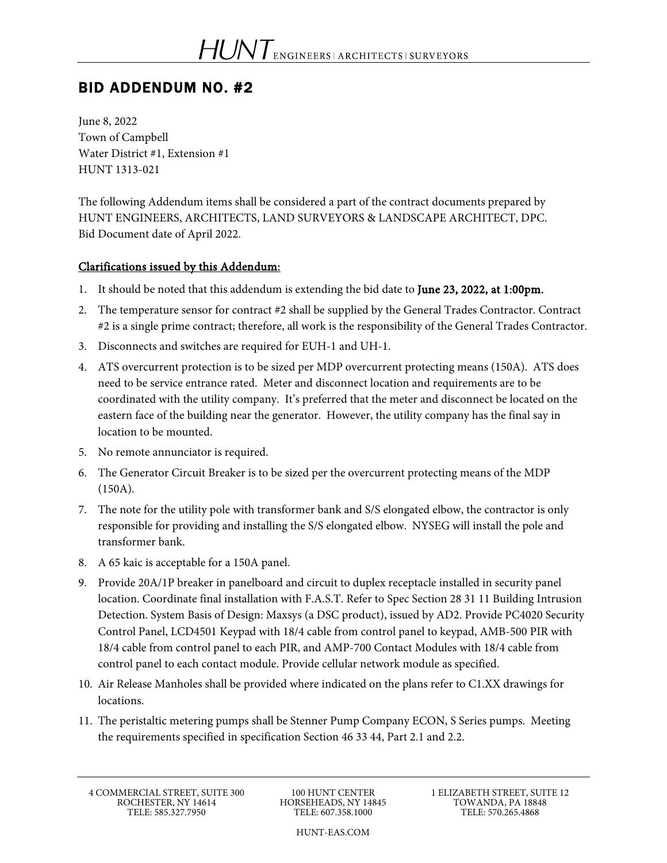# BID ADDENDUM NO. #2

June 8, 2022 Town of Campbell Water District #1, Extension #1 HUNT 1313-021

The following Addendum items shall be considered a part of the contract documents prepared by HUNT ENGINEERS, ARCHITECTS, LAND SURVEYORS & LANDSCAPE ARCHITECT, DPC. Bid Document date of April 2022.

### Clarifications issued by this Addendum:

- 1. It should be noted that this addendum is extending the bid date to June 23, 2022, at 1:00pm.
- 2. The temperature sensor for contract #2 shall be supplied by the General Trades Contractor. Contract #2 is a single prime contract; therefore, all work is the responsibility of the General Trades Contractor.
- 3. Disconnects and switches are required for EUH-1 and UH-1.
- 4. ATS overcurrent protection is to be sized per MDP overcurrent protecting means (150A). ATS does need to be service entrance rated. Meter and disconnect location and requirements are to be coordinated with the utility company. It's preferred that the meter and disconnect be located on the eastern face of the building near the generator. However, the utility company has the final say in location to be mounted.
- 5. No remote annunciator is required.
- 6. The Generator Circuit Breaker is to be sized per the overcurrent protecting means of the MDP (150A).
- 7. The note for the utility pole with transformer bank and S/S elongated elbow, the contractor is only responsible for providing and installing the S/S elongated elbow. NYSEG will install the pole and transformer bank.
- 8. A 65 kaic is acceptable for a 150A panel.
- 9. Provide 20A/1P breaker in panelboard and circuit to duplex receptacle installed in security panel location. Coordinate final installation with F.A.S.T. Refer to Spec Section 28 31 11 Building Intrusion Detection. System Basis of Design: Maxsys (a DSC product), issued by AD2. Provide PC4020 Security Control Panel, LCD4501 Keypad with 18/4 cable from control panel to keypad, AMB-500 PIR with 18/4 cable from control panel to each PIR, and AMP-700 Contact Modules with 18/4 cable from control panel to each contact module. Provide cellular network module as specified.
- 10. Air Release Manholes shall be provided where indicated on the plans refer to C1.XX drawings for locations.
- 11. The peristaltic metering pumps shall be Stenner Pump Company ECON, S Series pumps. Meeting the requirements specified in specification Section 46 33 44, Part 2.1 and 2.2.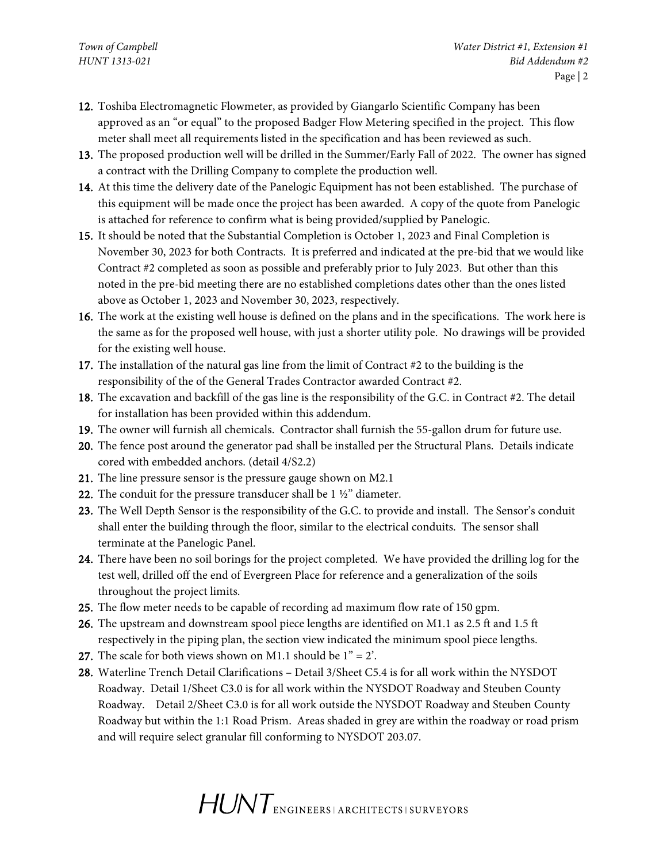- 12. Toshiba Electromagnetic Flowmeter, as provided by Giangarlo Scientific Company has been approved as an "or equal" to the proposed Badger Flow Metering specified in the project. This flow meter shall meet all requirements listed in the specification and has been reviewed as such.
- 13. The proposed production well will be drilled in the Summer/Early Fall of 2022. The owner has signed a contract with the Drilling Company to complete the production well.
- 14. At this time the delivery date of the Panelogic Equipment has not been established. The purchase of this equipment will be made once the project has been awarded. A copy of the quote from Panelogic is attached for reference to confirm what is being provided/supplied by Panelogic.
- 15. It should be noted that the Substantial Completion is October 1, 2023 and Final Completion is November 30, 2023 for both Contracts. It is preferred and indicated at the pre-bid that we would like Contract #2 completed as soon as possible and preferably prior to July 2023. But other than this noted in the pre-bid meeting there are no established completions dates other than the ones listed above as October 1, 2023 and November 30, 2023, respectively.
- 16. The work at the existing well house is defined on the plans and in the specifications. The work here is the same as for the proposed well house, with just a shorter utility pole. No drawings will be provided for the existing well house.
- 17. The installation of the natural gas line from the limit of Contract #2 to the building is the responsibility of the of the General Trades Contractor awarded Contract #2.
- 18. The excavation and backfill of the gas line is the responsibility of the G.C. in Contract #2. The detail for installation has been provided within this addendum.
- 19. The owner will furnish all chemicals. Contractor shall furnish the 55-gallon drum for future use.
- 20. The fence post around the generator pad shall be installed per the Structural Plans. Details indicate cored with embedded anchors. (detail 4/S2.2)
- 21. The line pressure sensor is the pressure gauge shown on M2.1
- 22. The conduit for the pressure transducer shall be 1 ½" diameter.
- 23. The Well Depth Sensor is the responsibility of the G.C. to provide and install. The Sensor's conduit shall enter the building through the floor, similar to the electrical conduits. The sensor shall terminate at the Panelogic Panel.
- 24. There have been no soil borings for the project completed. We have provided the drilling log for the test well, drilled off the end of Evergreen Place for reference and a generalization of the soils throughout the project limits.
- 25. The flow meter needs to be capable of recording ad maximum flow rate of 150 gpm.
- 26. The upstream and downstream spool piece lengths are identified on M1.1 as 2.5 ft and 1.5 ft respectively in the piping plan, the section view indicated the minimum spool piece lengths.
- 27. The scale for both views shown on M1.1 should be  $1" = 2'$ .
- 28. Waterline Trench Detail Clarifications Detail 3/Sheet C5.4 is for all work within the NYSDOT Roadway. Detail 1/Sheet C3.0 is for all work within the NYSDOT Roadway and Steuben County Roadway. Detail 2/Sheet C3.0 is for all work outside the NYSDOT Roadway and Steuben County Roadway but within the 1:1 Road Prism. Areas shaded in grey are within the roadway or road prism and will require select granular fill conforming to NYSDOT 203.07.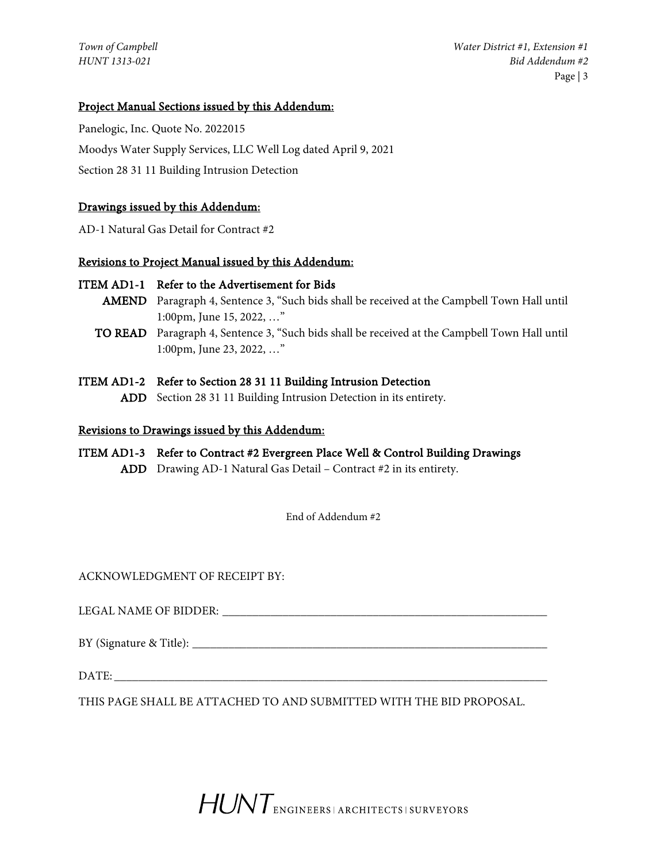# Project Manual Sections issued by this Addendum:

Panelogic, Inc. Quote No. 2022015 Moodys Water Supply Services, LLC Well Log dated April 9, 2021 Section 28 31 11 Building Intrusion Detection

# Drawings issued by this Addendum:

AD-1 Natural Gas Detail for Contract #2

## Revisions to Project Manual issued by this Addendum:

### ITEM AD1-1 Refer to the Advertisement for Bids

- AMEND Paragraph 4, Sentence 3, "Such bids shall be received at the Campbell Town Hall until 1:00pm, June 15, 2022, …"
- TO READ Paragraph 4, Sentence 3, "Such bids shall be received at the Campbell Town Hall until 1:00pm, June 23, 2022, …"
- ITEM AD1-2 Refer to Section 28 31 11 Building Intrusion Detection
	- ADD Section 28 31 11 Building Intrusion Detection in its entirety.

## Revisions to Drawings issued by this Addendum:

ITEM AD1-3 Refer to Contract #2 Evergreen Place Well & Control Building Drawings ADD Drawing AD-1 Natural Gas Detail – Contract #2 in its entirety.

End of Addendum #2

ACKNOWLEDGMENT OF RECEIPT BY:

LEGAL NAME OF BIDDER: \_\_\_\_\_\_\_\_\_\_\_\_\_\_\_\_\_\_\_\_\_\_\_\_\_\_\_\_\_\_\_\_\_\_\_\_\_\_\_\_\_\_\_\_\_\_\_\_\_\_\_\_\_\_

 $BY$  (Signature & Title):

DATE:

THIS PAGE SHALL BE ATTACHED TO AND SUBMITTED WITH THE BID PROPOSAL.

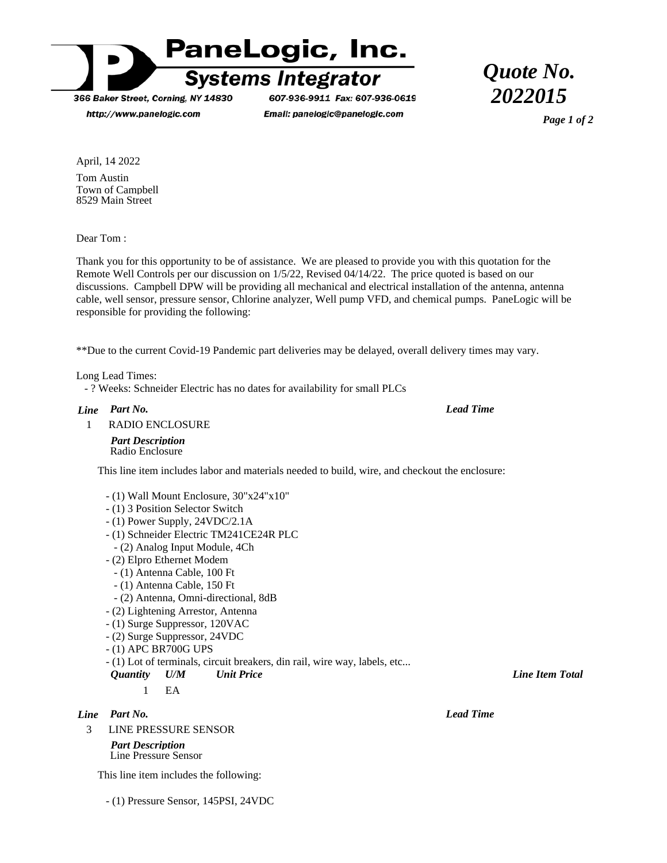

366 Baker Street, Corning, NY 14830

http://www.panelogic.com

607-936-9911 Fax: 607-936-0619 Email: panelogic@panelogic.com

*Quote No. 2022015*

*Page 1 of 2*

April, 14 2022 Tom Austin Town of Campbell 8529 Main Street

Dear Tom :

Thank you for this opportunity to be of assistance. We are pleased to provide you with this quotation for the Remote Well Controls per our discussion on 1/5/22, Revised 04/14/22. The price quoted is based on our discussions. Campbell DPW will be providing all mechanical and electrical installation of the antenna, antenna cable, well sensor, pressure sensor, Chlorine analyzer, Well pump VFD, and chemical pumps. PaneLogic will be responsible for providing the following:

\*\*Due to the current Covid-19 Pandemic part deliveries may be delayed, overall delivery times may vary.

Long Lead Times:

- ? Weeks: Schneider Electric has no dates for availability for small PLCs

#### *Part No. Line*

*Lead Time*

1 RADIO ENCLOSURE

*Part Description* Radio Enclosure

This line item includes labor and materials needed to build, wire, and checkout the enclosure:

- (1) Wall Mount Enclosure, 30"x24"x10"
- (1) 3 Position Selector Switch
- (1) Power Supply, 24VDC/2.1A
- (1) Schneider Electric TM241CE24R PLC
- (2) Analog Input Module, 4Ch
- (2) Elpro Ethernet Modem
	- (1) Antenna Cable, 100 Ft
	- (1) Antenna Cable, 150 Ft
	- (2) Antenna, Omni-directional, 8dB
- (2) Lightening Arrestor, Antenna
- (1) Surge Suppressor, 120VAC
- (2) Surge Suppressor, 24VDC
- (1) APC BR700G UPS
- (1) Lot of terminals, circuit breakers, din rail, wire way, labels, etc...
- *Quantity U/M Unit Price Line Item Total*

*Part No. Line*

3 LINE PRESSURE SENSOR

*Part Description* Line Pressure Sensor

This line item includes the following:

- (1) Pressure Sensor, 145PSI, 24VDC

 $1$  EA

*Lead Time*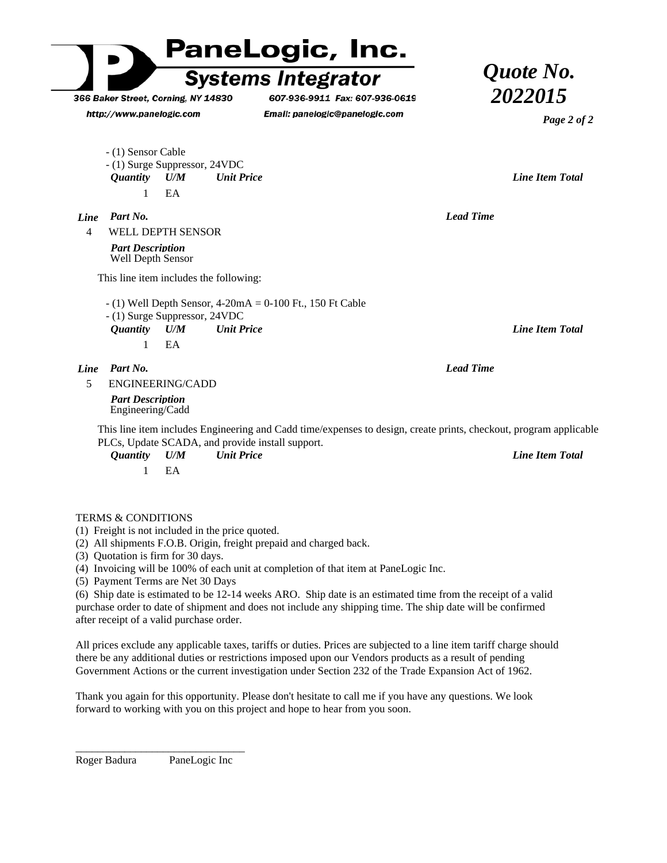

Roger Badura PaneLogic Inc

\_\_\_\_\_\_\_\_\_\_\_\_\_\_\_\_\_\_\_\_\_\_\_\_\_\_\_\_\_\_\_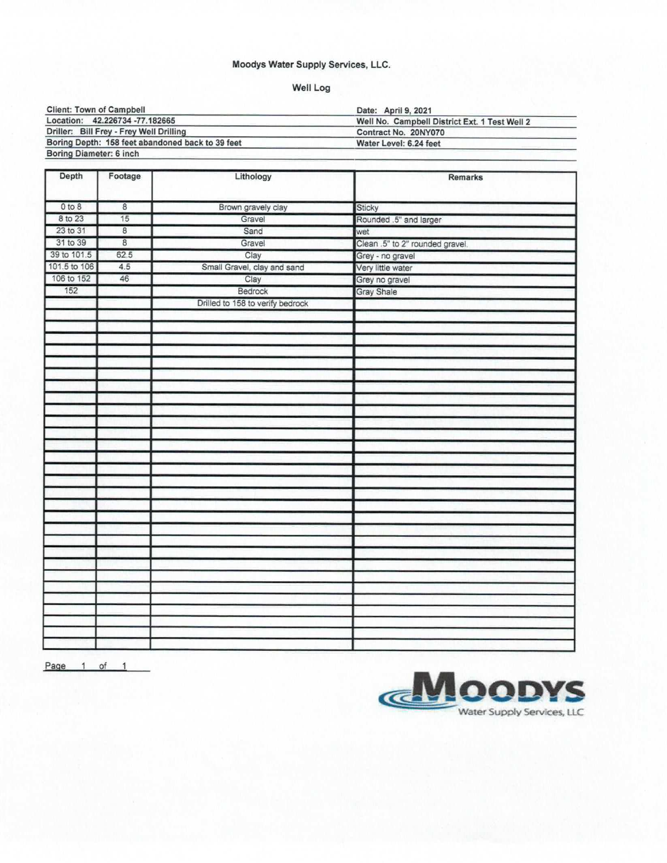### Moodys Water Supply Services, LLC.

# Well Log

| <b>Client: Town of Campbell</b>                  | Date: April 9, 2021                           |  |
|--------------------------------------------------|-----------------------------------------------|--|
| Location: 42.226734 -77.182665                   | Well No. Campbell District Ext. 1 Test Well 2 |  |
| Driller: Bill Frey - Frey Well Drilling          | Contract No. 20NY070                          |  |
| Boring Depth: 158 feet abandoned back to 39 feet | Water Level: 6.24 feet                        |  |
| Boring Diameter: 6 inch                          |                                               |  |

| Depth        | Footage        | Lithology                        | Remarks                         |  |
|--------------|----------------|----------------------------------|---------------------------------|--|
| 0 to 8       | 8              | Brown gravely clay               | Sticky                          |  |
| 8 to 23      | 15             | Gravel                           | Rounded .5" and larger          |  |
| 23 to 31     | $^{\rm 8}$     | Sand                             |                                 |  |
| 31 to 39     | $\overline{8}$ | Gravel                           | wet                             |  |
| 39 to 101.5  | 62.5           |                                  | Clean .5" to 2" rounded gravel. |  |
| 101.5 to 106 | 4.5            | Clay                             | Grey - no gravel                |  |
| 106 to 152   | 46             | Small Gravel, clay and sand      | Very little water               |  |
| 152          |                | Clay                             | Grey no gravel                  |  |
|              |                | Bedrock                          | <b>Gray Shale</b>               |  |
|              |                | Drilled to 158 to verify bedrock |                                 |  |
|              |                |                                  |                                 |  |
|              |                |                                  |                                 |  |
|              |                |                                  |                                 |  |
|              |                |                                  |                                 |  |
|              |                |                                  |                                 |  |
|              |                |                                  |                                 |  |
|              |                |                                  |                                 |  |
|              |                |                                  |                                 |  |
|              |                |                                  |                                 |  |
|              |                |                                  |                                 |  |
|              |                |                                  |                                 |  |
|              |                |                                  |                                 |  |
|              |                |                                  |                                 |  |
|              |                |                                  |                                 |  |
|              |                |                                  |                                 |  |
|              |                |                                  |                                 |  |
|              |                |                                  |                                 |  |
|              |                |                                  |                                 |  |
|              |                |                                  |                                 |  |
|              |                |                                  |                                 |  |
|              |                |                                  |                                 |  |
|              |                |                                  |                                 |  |
|              |                |                                  |                                 |  |
|              |                |                                  |                                 |  |
|              |                |                                  |                                 |  |
|              |                |                                  |                                 |  |
|              |                |                                  |                                 |  |
|              |                |                                  |                                 |  |
|              |                |                                  |                                 |  |

Page 1 of 1

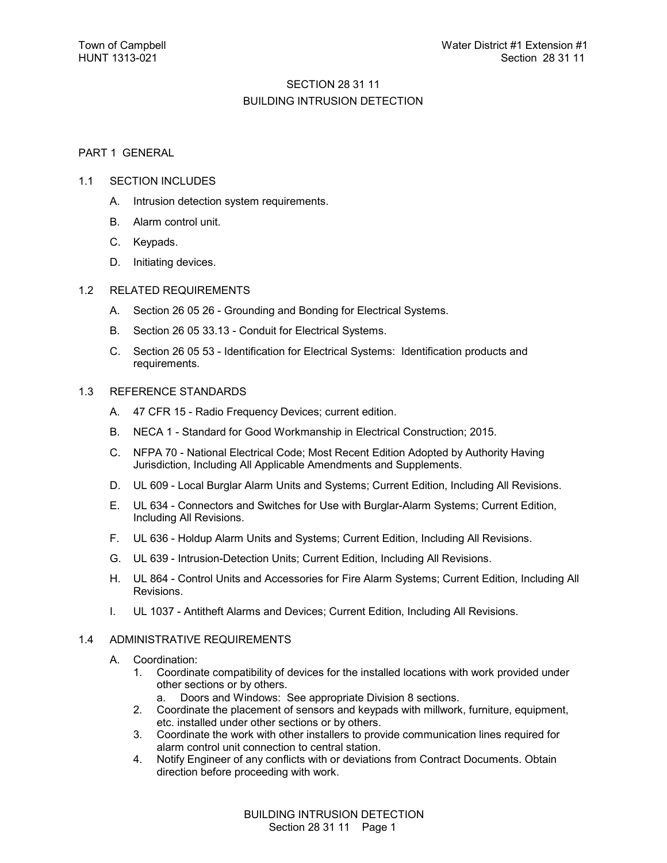# SECTION 28 31 11 BUILDING INTRUSION DETECTION

#### PART 1 GENERAL

#### 1.1 SECTION INCLUDES

- A. Intrusion detection system requirements.
- B. Alarm control unit.
- C. Keypads.
- D. Initiating devices.

#### 1.2 RELATED REQUIREMENTS

- A. Section 26 05 26 Grounding and Bonding for Electrical Systems.
- B. Section 26 05 33.13 Conduit for Electrical Systems.
- C. Section 26 05 53 Identification for Electrical Systems: Identification products and requirements.

#### 1.3 REFERENCE STANDARDS

- A. 47 CFR 15 Radio Frequency Devices; current edition.
- B. NECA 1 Standard for Good Workmanship in Electrical Construction; 2015.
- C. NFPA 70 National Electrical Code; Most Recent Edition Adopted by Authority Having Jurisdiction, Including All Applicable Amendments and Supplements.
- D. UL 609 Local Burglar Alarm Units and Systems; Current Edition, Including All Revisions.
- E. UL 634 Connectors and Switches for Use with Burglar-Alarm Systems; Current Edition, Including All Revisions.
- F. UL 636 Holdup Alarm Units and Systems; Current Edition, Including All Revisions.
- G. UL 639 Intrusion-Detection Units; Current Edition, Including All Revisions.
- H. UL 864 Control Units and Accessories for Fire Alarm Systems; Current Edition, Including All Revisions.
- I. UL 1037 Antitheft Alarms and Devices; Current Edition, Including All Revisions.

#### 1.4 ADMINISTRATIVE REQUIREMENTS

- A. Coordination:
	- 1. Coordinate compatibility of devices for the installed locations with work provided under other sections or by others.
		- a. Doors and Windows: See appropriate Division 8 sections.
	- 2. Coordinate the placement of sensors and keypads with millwork, furniture, equipment, etc. installed under other sections or by others.
	- 3. Coordinate the work with other installers to provide communication lines required for alarm control unit connection to central station.
	- 4. Notify Engineer of any conflicts with or deviations from Contract Documents. Obtain direction before proceeding with work.

BUILDING INTRUSION DETECTION Section 28 31 11 Page 1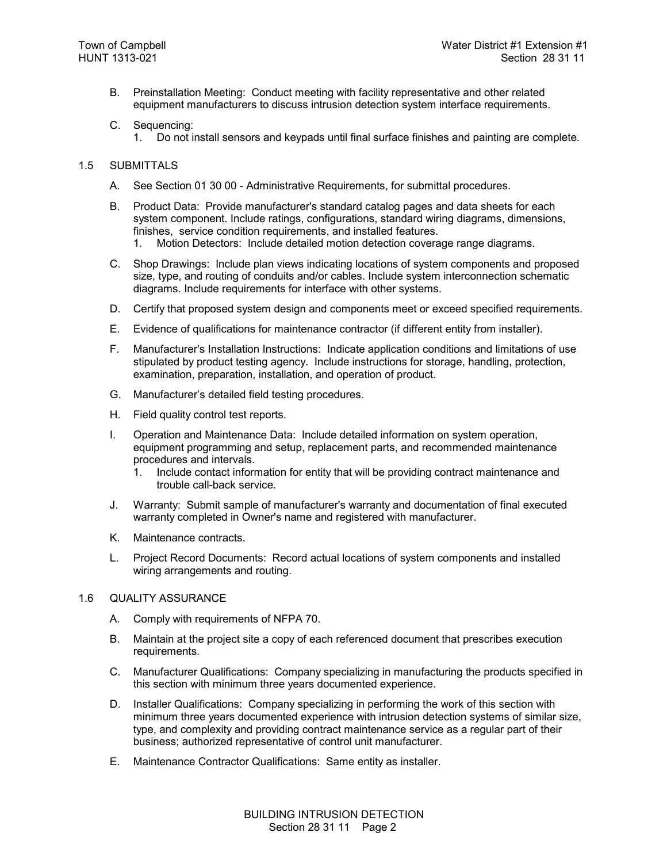- B. Preinstallation Meeting: Conduct meeting with facility representative and other related equipment manufacturers to discuss intrusion detection system interface requirements.
- C. Sequencing:
	- 1. Do not install sensors and keypads until final surface finishes and painting are complete.

#### 1.5 SUBMITTALS

- A. See Section 01 30 00 Administrative Requirements, for submittal procedures.
- B. Product Data: Provide manufacturer's standard catalog pages and data sheets for each system component. Include ratings, configurations, standard wiring diagrams, dimensions, finishes, service condition requirements, and installed features.
	- 1. Motion Detectors: Include detailed motion detection coverage range diagrams.
- C. Shop Drawings: Include plan views indicating locations of system components and proposed size, type, and routing of conduits and/or cables. Include system interconnection schematic diagrams. Include requirements for interface with other systems.
- D. Certify that proposed system design and components meet or exceed specified requirements.
- E. Evidence of qualifications for maintenance contractor (if different entity from installer).
- F. Manufacturer's Installation Instructions: Indicate application conditions and limitations of use stipulated by product testing agency. Include instructions for storage, handling, protection, examination, preparation, installation, and operation of product.
- G. Manufacturer's detailed field testing procedures.
- H. Field quality control test reports.
- I. Operation and Maintenance Data: Include detailed information on system operation, equipment programming and setup, replacement parts, and recommended maintenance procedures and intervals.
	- 1. Include contact information for entity that will be providing contract maintenance and trouble call-back service.
- J. Warranty: Submit sample of manufacturer's warranty and documentation of final executed warranty completed in Owner's name and registered with manufacturer.
- K. Maintenance contracts.
- L. Project Record Documents: Record actual locations of system components and installed wiring arrangements and routing.

#### 1.6 QUALITY ASSURANCE

- A. Comply with requirements of NFPA 70.
- B. Maintain at the project site a copy of each referenced document that prescribes execution requirements.
- C. Manufacturer Qualifications: Company specializing in manufacturing the products specified in this section with minimum three years documented experience.
- D. Installer Qualifications: Company specializing in performing the work of this section with minimum three years documented experience with intrusion detection systems of similar size, type, and complexity and providing contract maintenance service as a regular part of their business; authorized representative of control unit manufacturer.
- E. Maintenance Contractor Qualifications: Same entity as installer.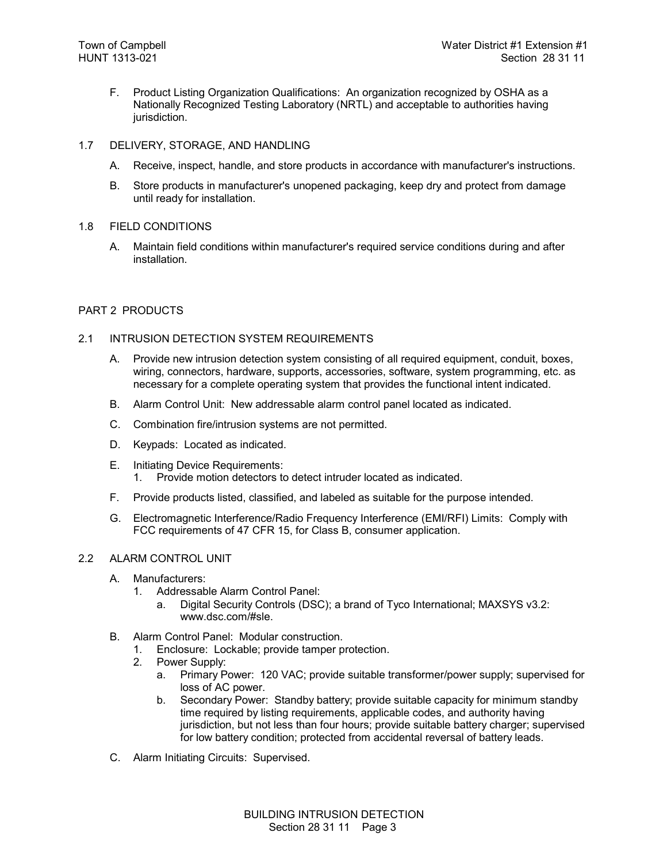- F. Product Listing Organization Qualifications: An organization recognized by OSHA as a Nationally Recognized Testing Laboratory (NRTL) and acceptable to authorities having jurisdiction.
- 1.7 DELIVERY, STORAGE, AND HANDLING
	- A. Receive, inspect, handle, and store products in accordance with manufacturer's instructions.
	- B. Store products in manufacturer's unopened packaging, keep dry and protect from damage until ready for installation.
- 1.8 FIELD CONDITIONS
	- A. Maintain field conditions within manufacturer's required service conditions during and after installation.

#### PART 2 PRODUCTS

#### 2.1 INTRUSION DETECTION SYSTEM REQUIREMENTS

- A. Provide new intrusion detection system consisting of all required equipment, conduit, boxes, wiring, connectors, hardware, supports, accessories, software, system programming, etc. as necessary for a complete operating system that provides the functional intent indicated.
- B. Alarm Control Unit: New addressable alarm control panel located as indicated.
- C. Combination fire/intrusion systems are not permitted.
- D. Keypads: Located as indicated.
- E. Initiating Device Requirements: 1. Provide motion detectors to detect intruder located as indicated.
- F. Provide products listed, classified, and labeled as suitable for the purpose intended.
- G. Electromagnetic Interference/Radio Frequency Interference (EMI/RFI) Limits: Comply with FCC requirements of 47 CFR 15, for Class B, consumer application.

#### 2.2 ALARM CONTROL UNIT

- A. Manufacturers:
	- 1. Addressable Alarm Control Panel:
		- a. Digital Security Controls (DSC); a brand of Tyco International; MAXSYS v3.2: www.dsc.com/#sle.
- B. Alarm Control Panel: Modular construction.
	- 1. Enclosure: Lockable; provide tamper protection.
	- 2. Power Supply:
		- a. Primary Power: 120 VAC; provide suitable transformer/power supply; supervised for loss of AC power.
		- b. Secondary Power: Standby battery; provide suitable capacity for minimum standby time required by listing requirements, applicable codes, and authority having jurisdiction, but not less than four hours; provide suitable battery charger; supervised for low battery condition; protected from accidental reversal of battery leads.
- C. Alarm Initiating Circuits: Supervised.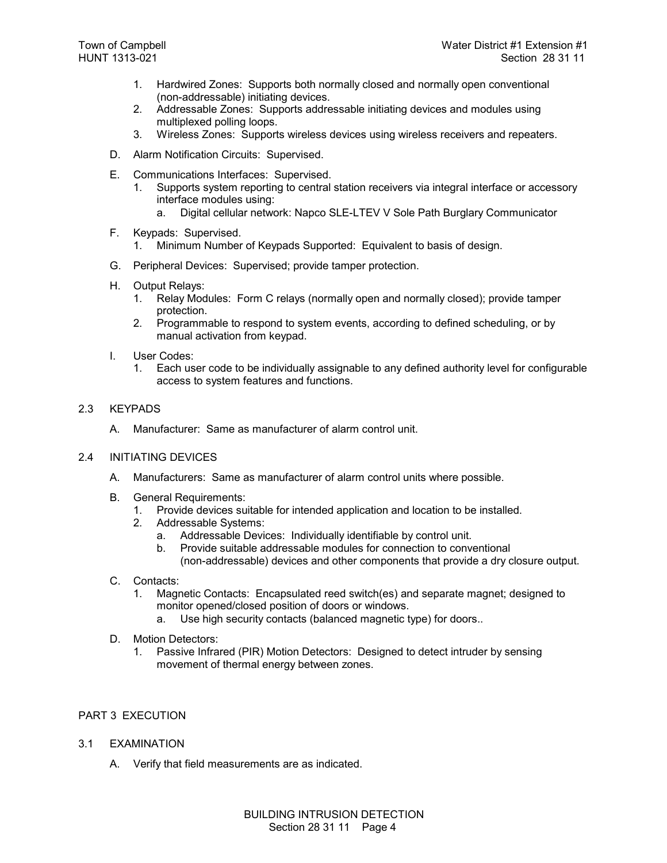- 1. Hardwired Zones: Supports both normally closed and normally open conventional (non-addressable) initiating devices.
- 2. Addressable Zones: Supports addressable initiating devices and modules using multiplexed polling loops.
- 3. Wireless Zones: Supports wireless devices using wireless receivers and repeaters.
- D. Alarm Notification Circuits: Supervised.
- E. Communications Interfaces: Supervised.
	- 1. Supports system reporting to central station receivers via integral interface or accessory interface modules using:
		- a. Digital cellular network: Napco SLE-LTEV V Sole Path Burglary Communicator
- F. Keypads: Supervised.
	- 1. Minimum Number of Keypads Supported: Equivalent to basis of design.
- G. Peripheral Devices: Supervised; provide tamper protection.
- H. Output Relays:
	- 1. Relay Modules: Form C relays (normally open and normally closed); provide tamper protection.
	- 2. Programmable to respond to system events, according to defined scheduling, or by manual activation from keypad.
- I. User Codes:
	- 1. Each user code to be individually assignable to any defined authority level for configurable access to system features and functions.
- 2.3 KEYPADS
	- A. Manufacturer: Same as manufacturer of alarm control unit.
- 2.4 INITIATING DEVICES
	- A. Manufacturers: Same as manufacturer of alarm control units where possible.
	- B. General Requirements:
		- 1. Provide devices suitable for intended application and location to be installed.
		- Addressable Systems:
			- a. Addressable Devices: Individually identifiable by control unit.
			- b. Provide suitable addressable modules for connection to conventional (non-addressable) devices and other components that provide a dry closure output.
	- C. Contacts:
		- 1. Magnetic Contacts: Encapsulated reed switch(es) and separate magnet; designed to monitor opened/closed position of doors or windows.
			- a. Use high security contacts (balanced magnetic type) for doors..
	- D. Motion Detectors:
		- 1. Passive Infrared (PIR) Motion Detectors: Designed to detect intruder by sensing movement of thermal energy between zones.

#### PART 3 EXECUTION

- 3.1 EXAMINATION
	- A. Verify that field measurements are as indicated.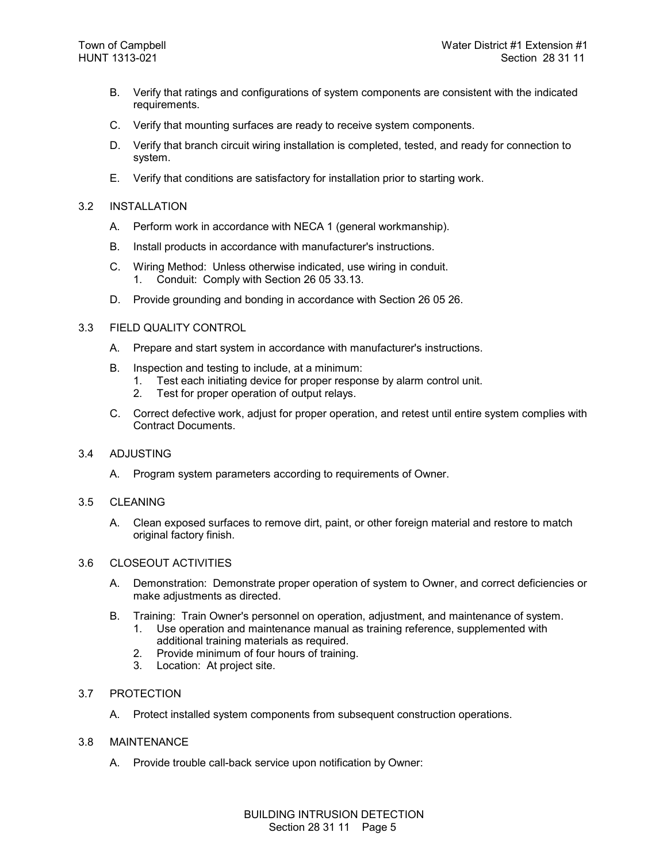- B. Verify that ratings and configurations of system components are consistent with the indicated requirements.
- C. Verify that mounting surfaces are ready to receive system components.
- D. Verify that branch circuit wiring installation is completed, tested, and ready for connection to system.
- E. Verify that conditions are satisfactory for installation prior to starting work.

#### 3.2 INSTALLATION

- A. Perform work in accordance with NECA 1 (general workmanship).
- B. Install products in accordance with manufacturer's instructions.
- C. Wiring Method: Unless otherwise indicated, use wiring in conduit. 1. Conduit: Comply with Section 26 05 33.13.
- D. Provide grounding and bonding in accordance with Section 26 05 26.

#### 3.3 FIELD QUALITY CONTROL

- A. Prepare and start system in accordance with manufacturer's instructions.
- B. Inspection and testing to include, at a minimum:
	- 1. Test each initiating device for proper response by alarm control unit.
	- 2. Test for proper operation of output relays.
- C. Correct defective work, adjust for proper operation, and retest until entire system complies with Contract Documents.

#### 3.4 ADJUSTING

A. Program system parameters according to requirements of Owner.

#### 3.5 CLEANING

A. Clean exposed surfaces to remove dirt, paint, or other foreign material and restore to match original factory finish.

### 3.6 CLOSEOUT ACTIVITIES

- A. Demonstration: Demonstrate proper operation of system to Owner, and correct deficiencies or make adjustments as directed.
- B. Training: Train Owner's personnel on operation, adjustment, and maintenance of system.
	- 1. Use operation and maintenance manual as training reference, supplemented with additional training materials as required.
	- 2. Provide minimum of four hours of training.
	- 3. Location: At project site.

#### 3.7 PROTECTION

A. Protect installed system components from subsequent construction operations.

#### 3.8 MAINTENANCE

A. Provide trouble call-back service upon notification by Owner: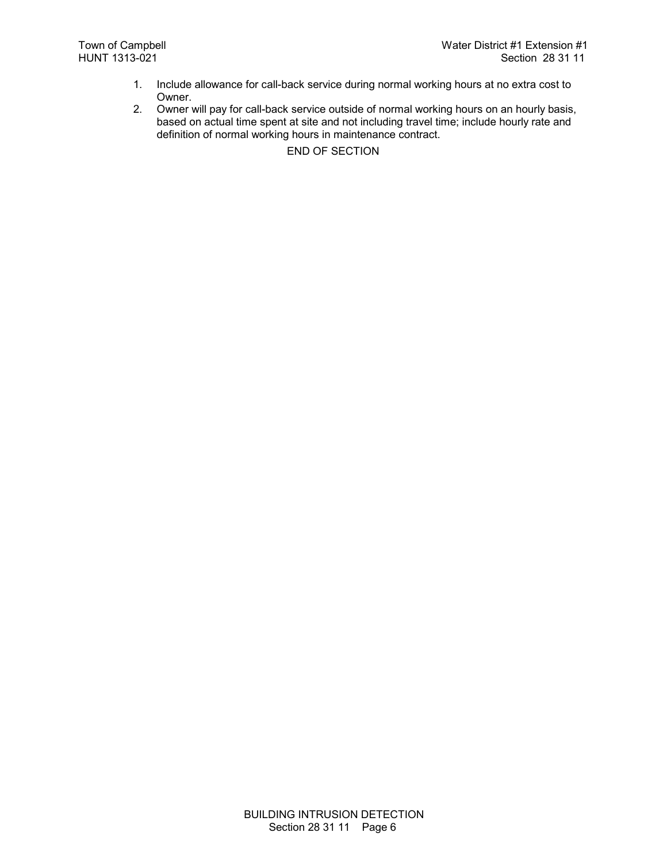- 1. Include allowance for call-back service during normal working hours at no extra cost to Owner.
- 2. Owner will pay for call-back service outside of normal working hours on an hourly basis, based on actual time spent at site and not including travel time; include hourly rate and definition of normal working hours in maintenance contract.

END OF SECTION